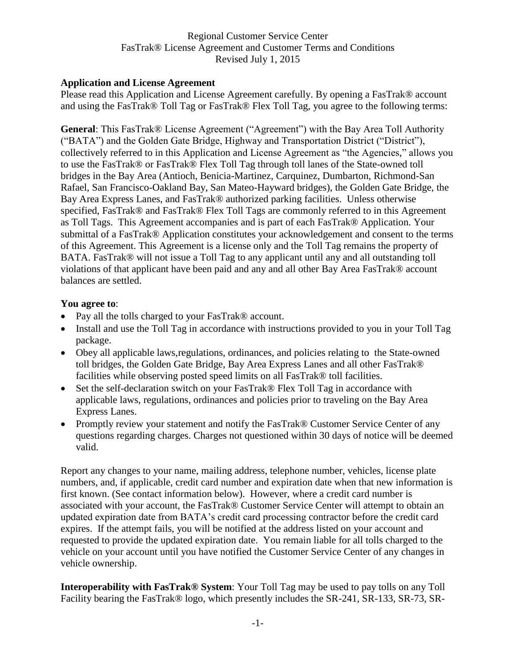## **Application and License Agreement**

Please read this Application and License Agreement carefully. By opening a FasTrak® account and using the FasTrak® Toll Tag or FasTrak® Flex Toll Tag, you agree to the following terms:

**General**: This FasTrak® License Agreement ("Agreement") with the Bay Area Toll Authority ("BATA") and the Golden Gate Bridge, Highway and Transportation District ("District"), collectively referred to in this Application and License Agreement as "the Agencies," allows you to use the FasTrak® or FasTrak® Flex Toll Tag through toll lanes of the State-owned toll bridges in the Bay Area (Antioch, Benicia-Martinez, Carquinez, Dumbarton, Richmond-San Rafael, San Francisco-Oakland Bay, San Mateo-Hayward bridges), the Golden Gate Bridge, the Bay Area Express Lanes, and FasTrak® authorized parking facilities. Unless otherwise specified, FasTrak® and FasTrak® Flex Toll Tags are commonly referred to in this Agreement as Toll Tags. This Agreement accompanies and is part of each FasTrak® Application. Your submittal of a FasTrak® Application constitutes your acknowledgement and consent to the terms of this Agreement. This Agreement is a license only and the Toll Tag remains the property of BATA. FasTrak<sup>®</sup> will not issue a Toll Tag to any applicant until any and all outstanding toll violations of that applicant have been paid and any and all other Bay Area FasTrak® account balances are settled.

#### **You agree to**:

- Pay all the tolls charged to your FasTrak® account.
- Install and use the Toll Tag in accordance with instructions provided to you in your Toll Tag package.
- Obey all applicable laws,regulations, ordinances, and policies relating to the State-owned toll bridges, the Golden Gate Bridge, Bay Area Express Lanes and all other FasTrak® facilities while observing posted speed limits on all FasTrak® toll facilities.
- Set the self-declaration switch on your FasTrak® Flex Toll Tag in accordance with applicable laws, regulations, ordinances and policies prior to traveling on the Bay Area Express Lanes.
- Promptly review your statement and notify the FasTrak® Customer Service Center of any questions regarding charges. Charges not questioned within 30 days of notice will be deemed valid.

Report any changes to your name, mailing address, telephone number, vehicles, license plate numbers, and, if applicable, credit card number and expiration date when that new information is first known. (See contact information below). However, where a credit card number is associated with your account, the FasTrak® Customer Service Center will attempt to obtain an updated expiration date from BATA's credit card processing contractor before the credit card expires. If the attempt fails, you will be notified at the address listed on your account and requested to provide the updated expiration date. You remain liable for all tolls charged to the vehicle on your account until you have notified the Customer Service Center of any changes in vehicle ownership.

**Interoperability with FasTrak® System**: Your Toll Tag may be used to pay tolls on any Toll Facility bearing the FasTrak® logo, which presently includes the SR-241, SR-133, SR-73, SR-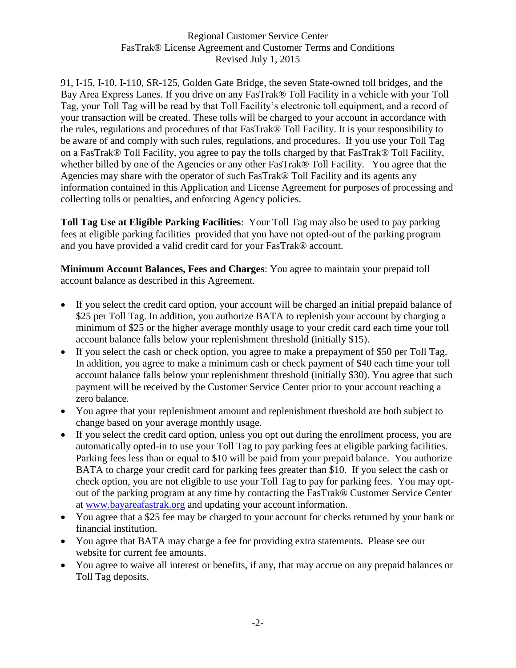91, I-15, I-10, I-110, SR-125, Golden Gate Bridge, the seven State-owned toll bridges, and the Bay Area Express Lanes. If you drive on any FasTrak® Toll Facility in a vehicle with your Toll Tag, your Toll Tag will be read by that Toll Facility's electronic toll equipment, and a record of your transaction will be created. These tolls will be charged to your account in accordance with the rules, regulations and procedures of that FasTrak® Toll Facility. It is your responsibility to be aware of and comply with such rules, regulations, and procedures. If you use your Toll Tag on a FasTrak® Toll Facility, you agree to pay the tolls charged by that FasTrak® Toll Facility, whether billed by one of the Agencies or any other FasTrak® Toll Facility. You agree that the Agencies may share with the operator of such FasTrak® Toll Facility and its agents any information contained in this Application and License Agreement for purposes of processing and collecting tolls or penalties, and enforcing Agency policies.

**Toll Tag Use at Eligible Parking Facilities**: Your Toll Tag may also be used to pay parking fees at eligible parking facilities provided that you have not opted-out of the parking program and you have provided a valid credit card for your FasTrak® account.

**Minimum Account Balances, Fees and Charges**: You agree to maintain your prepaid toll account balance as described in this Agreement.

- If you select the credit card option, your account will be charged an initial prepaid balance of \$25 per Toll Tag. In addition, you authorize BATA to replenish your account by charging a minimum of \$25 or the higher average monthly usage to your credit card each time your toll account balance falls below your replenishment threshold (initially \$15).
- If you select the cash or check option, you agree to make a prepayment of \$50 per Toll Tag. In addition, you agree to make a minimum cash or check payment of \$40 each time your toll account balance falls below your replenishment threshold (initially \$30). You agree that such payment will be received by the Customer Service Center prior to your account reaching a zero balance.
- You agree that your replenishment amount and replenishment threshold are both subject to change based on your average monthly usage.
- If you select the credit card option, unless you opt out during the enrollment process, you are automatically opted-in to use your Toll Tag to pay parking fees at eligible parking facilities. Parking fees less than or equal to \$10 will be paid from your prepaid balance. You authorize BATA to charge your credit card for parking fees greater than \$10. If you select the cash or check option, you are not eligible to use your Toll Tag to pay for parking fees. You may optout of the parking program at any time by contacting the FasTrak® Customer Service Center at [www.bayareafastrak.org](http://www.bayareafastrak.org/) and updating your account information.
- You agree that a \$25 fee may be charged to your account for checks returned by your bank or financial institution.
- You agree that BATA may charge a fee for providing extra statements. Please see our website for current fee amounts.
- You agree to waive all interest or benefits, if any, that may accrue on any prepaid balances or Toll Tag deposits.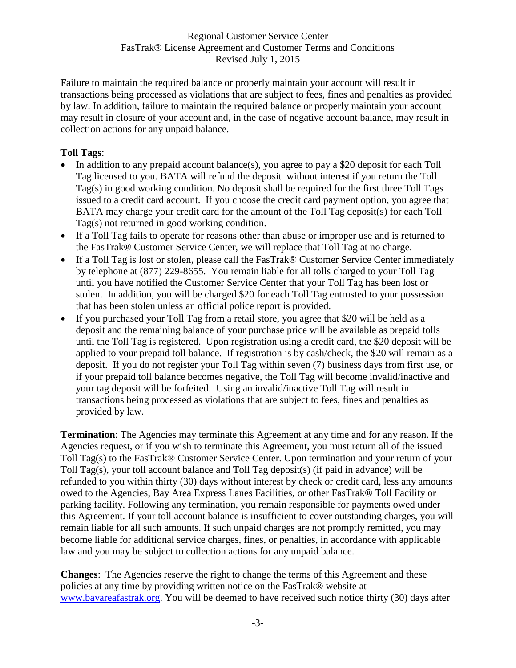Failure to maintain the required balance or properly maintain your account will result in transactions being processed as violations that are subject to fees, fines and penalties as provided by law. In addition, failure to maintain the required balance or properly maintain your account may result in closure of your account and, in the case of negative account balance, may result in collection actions for any unpaid balance.

# **Toll Tags**:

- In addition to any prepaid account balance(s), you agree to pay a \$20 deposit for each Toll Tag licensed to you. BATA will refund the deposit without interest if you return the Toll Tag(s) in good working condition. No deposit shall be required for the first three Toll Tags issued to a credit card account. If you choose the credit card payment option, you agree that BATA may charge your credit card for the amount of the Toll Tag deposit(s) for each Toll Tag(s) not returned in good working condition.
- If a Toll Tag fails to operate for reasons other than abuse or improper use and is returned to the FasTrak® Customer Service Center, we will replace that Toll Tag at no charge.
- If a Toll Tag is lost or stolen, please call the FasTrak® Customer Service Center immediately by telephone at (877) 229-8655. You remain liable for all tolls charged to your Toll Tag until you have notified the Customer Service Center that your Toll Tag has been lost or stolen. In addition, you will be charged \$20 for each Toll Tag entrusted to your possession that has been stolen unless an official police report is provided.
- If you purchased your Toll Tag from a retail store, you agree that \$20 will be held as a deposit and the remaining balance of your purchase price will be available as prepaid tolls until the Toll Tag is registered. Upon registration using a credit card, the \$20 deposit will be applied to your prepaid toll balance. If registration is by cash/check, the \$20 will remain as a deposit. If you do not register your Toll Tag within seven (7) business days from first use, or if your prepaid toll balance becomes negative, the Toll Tag will become invalid/inactive and your tag deposit will be forfeited. Using an invalid/inactive Toll Tag will result in transactions being processed as violations that are subject to fees, fines and penalties as provided by law.

**Termination**: The Agencies may terminate this Agreement at any time and for any reason. If the Agencies request, or if you wish to terminate this Agreement, you must return all of the issued Toll Tag(s) to the FasTrak® Customer Service Center. Upon termination and your return of your Toll Tag(s), your toll account balance and Toll Tag deposit(s) (if paid in advance) will be refunded to you within thirty (30) days without interest by check or credit card, less any amounts owed to the Agencies, Bay Area Express Lanes Facilities, or other FasTrak® Toll Facility or parking facility. Following any termination, you remain responsible for payments owed under this Agreement. If your toll account balance is insufficient to cover outstanding charges, you will remain liable for all such amounts. If such unpaid charges are not promptly remitted, you may become liable for additional service charges, fines, or penalties, in accordance with applicable law and you may be subject to collection actions for any unpaid balance.

**Changes**: The Agencies reserve the right to change the terms of this Agreement and these policies at any time by providing written notice on the FasTrak® website at [www.bayareafastrak.org.](http://www.bayareafastrak.org/) You will be deemed to have received such notice thirty (30) days after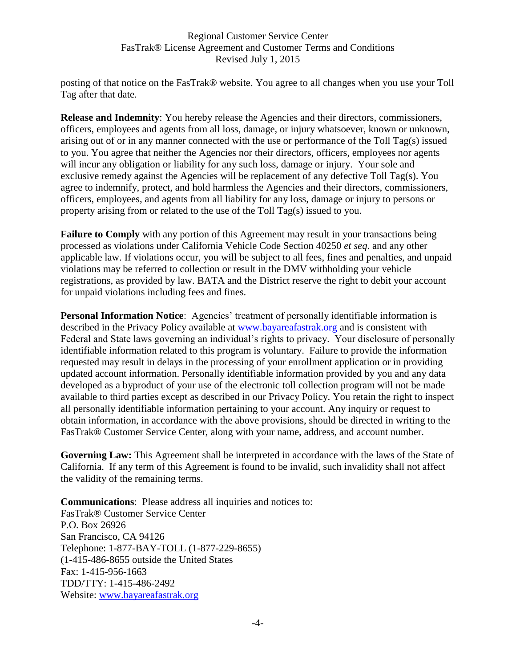posting of that notice on the FasTrak® website. You agree to all changes when you use your Toll Tag after that date.

**Release and Indemnity**: You hereby release the Agencies and their directors, commissioners, officers, employees and agents from all loss, damage, or injury whatsoever, known or unknown, arising out of or in any manner connected with the use or performance of the Toll Tag(s) issued to you. You agree that neither the Agencies nor their directors, officers, employees nor agents will incur any obligation or liability for any such loss, damage or injury. Your sole and exclusive remedy against the Agencies will be replacement of any defective Toll Tag(s). You agree to indemnify, protect, and hold harmless the Agencies and their directors, commissioners, officers, employees, and agents from all liability for any loss, damage or injury to persons or property arising from or related to the use of the Toll Tag(s) issued to you.

**Failure to Comply** with any portion of this Agreement may result in your transactions being processed as violations under California Vehicle Code Section 40250 *et seq*. and any other applicable law. If violations occur, you will be subject to all fees, fines and penalties, and unpaid violations may be referred to collection or result in the DMV withholding your vehicle registrations, as provided by law. BATA and the District reserve the right to debit your account for unpaid violations including fees and fines.

**Personal Information Notice:** Agencies' treatment of personally identifiable information is described in the Privacy Policy available at [www.bayareafastrak.org](http://www.bayareafastrak.org/) and is consistent with Federal and State laws governing an individual's rights to privacy. Your disclosure of personally identifiable information related to this program is voluntary. Failure to provide the information requested may result in delays in the processing of your enrollment application or in providing updated account information. Personally identifiable information provided by you and any data developed as a byproduct of your use of the electronic toll collection program will not be made available to third parties except as described in our Privacy Policy. You retain the right to inspect all personally identifiable information pertaining to your account. Any inquiry or request to obtain information, in accordance with the above provisions, should be directed in writing to the FasTrak® Customer Service Center, along with your name, address, and account number.

**Governing Law:** This Agreement shall be interpreted in accordance with the laws of the State of California. If any term of this Agreement is found to be invalid, such invalidity shall not affect the validity of the remaining terms.

**Communications**: Please address all inquiries and notices to: FasTrak® Customer Service Center P.O. Box 26926 San Francisco, CA 94126 Telephone: 1-877-BAY-TOLL (1-877-229-8655) (1-415-486-8655 outside the United States Fax: 1-415-956-1663 TDD/TTY: 1-415-486-2492 Website: [www.bayareafastrak.org](http://www.bayareafastrak.org/)